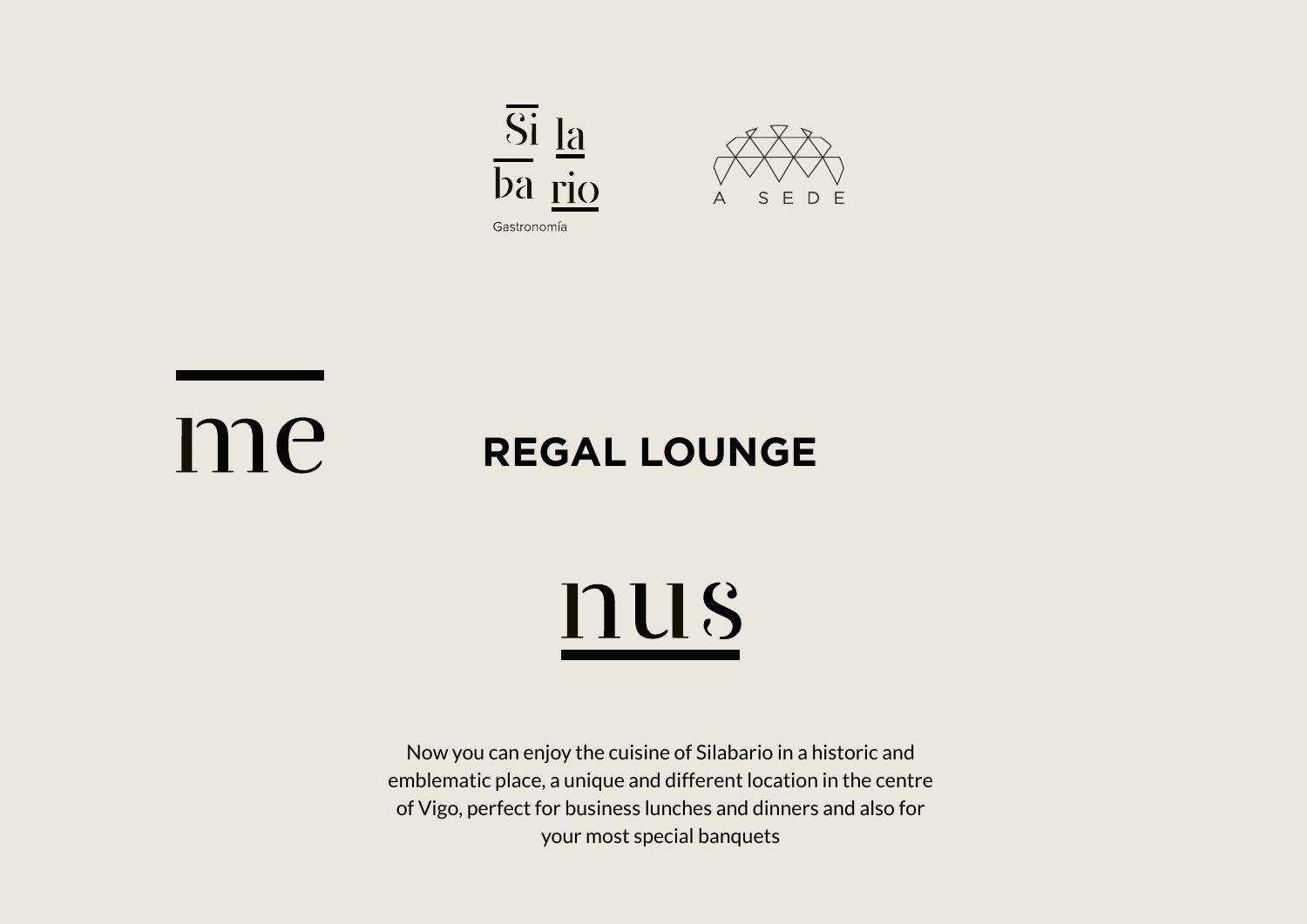



### me **REGAL LOUNGE**

# nus

Now you can enjoy the cuisine of Silabario in a historic and emblematic place, a unique and different location in the centre of Vigo, perfect for business lunches and dinners and also for your most special banquets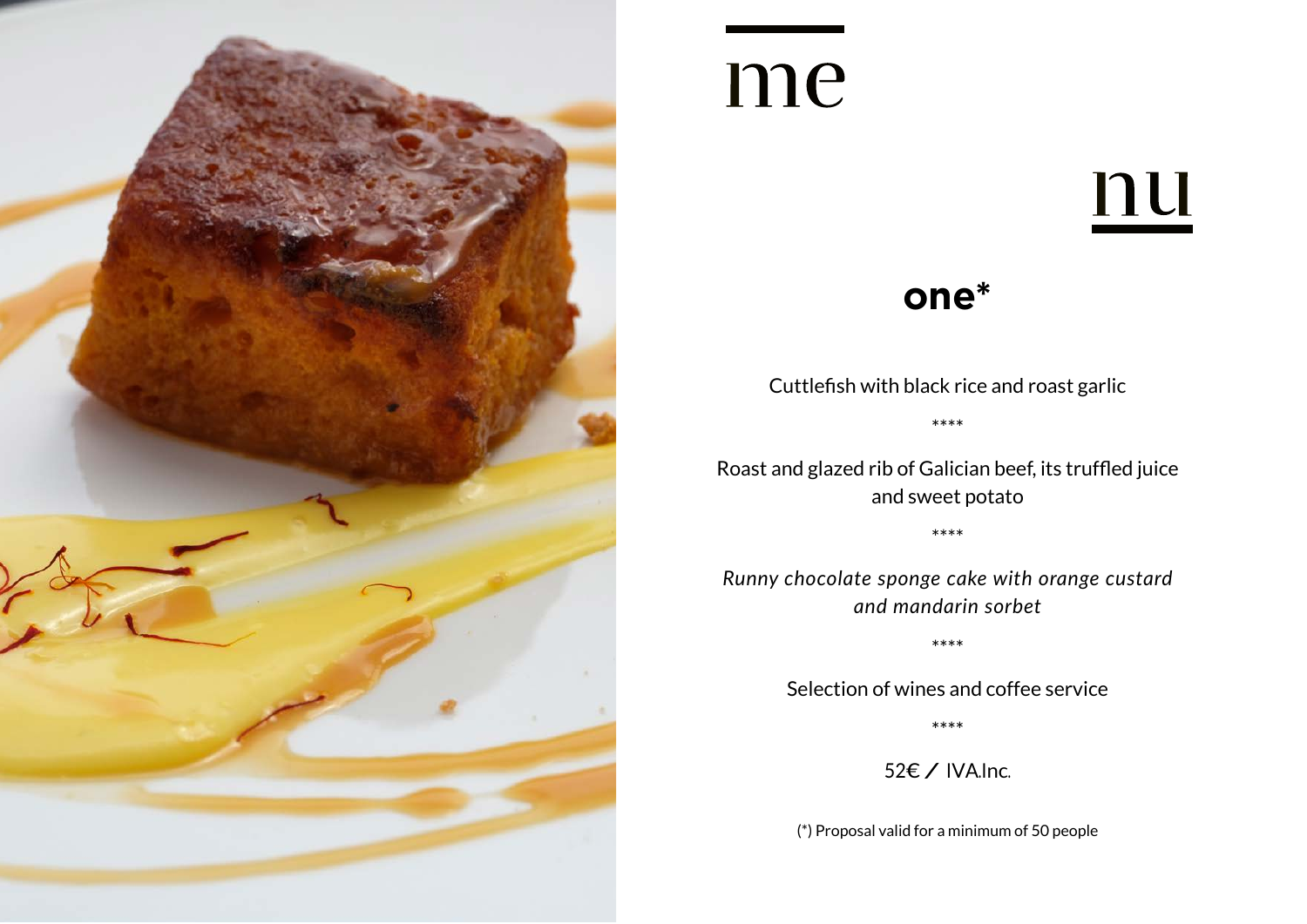

# nu

#### **one\***

Cuttlefish with black rice and roast garlic \*\*\*\*

Roast and glazed rib of Galician beef, its truffled juice and sweet potato

\*\*\*\*

*Runny chocolate sponge cake with orange custard and mandarin sorbet*

\*\*\*\*

Selection of wines and coffee service

\*\*\*\*

52€ / IVA.Inc.

(\*) Proposal valid for a minimum of 50 people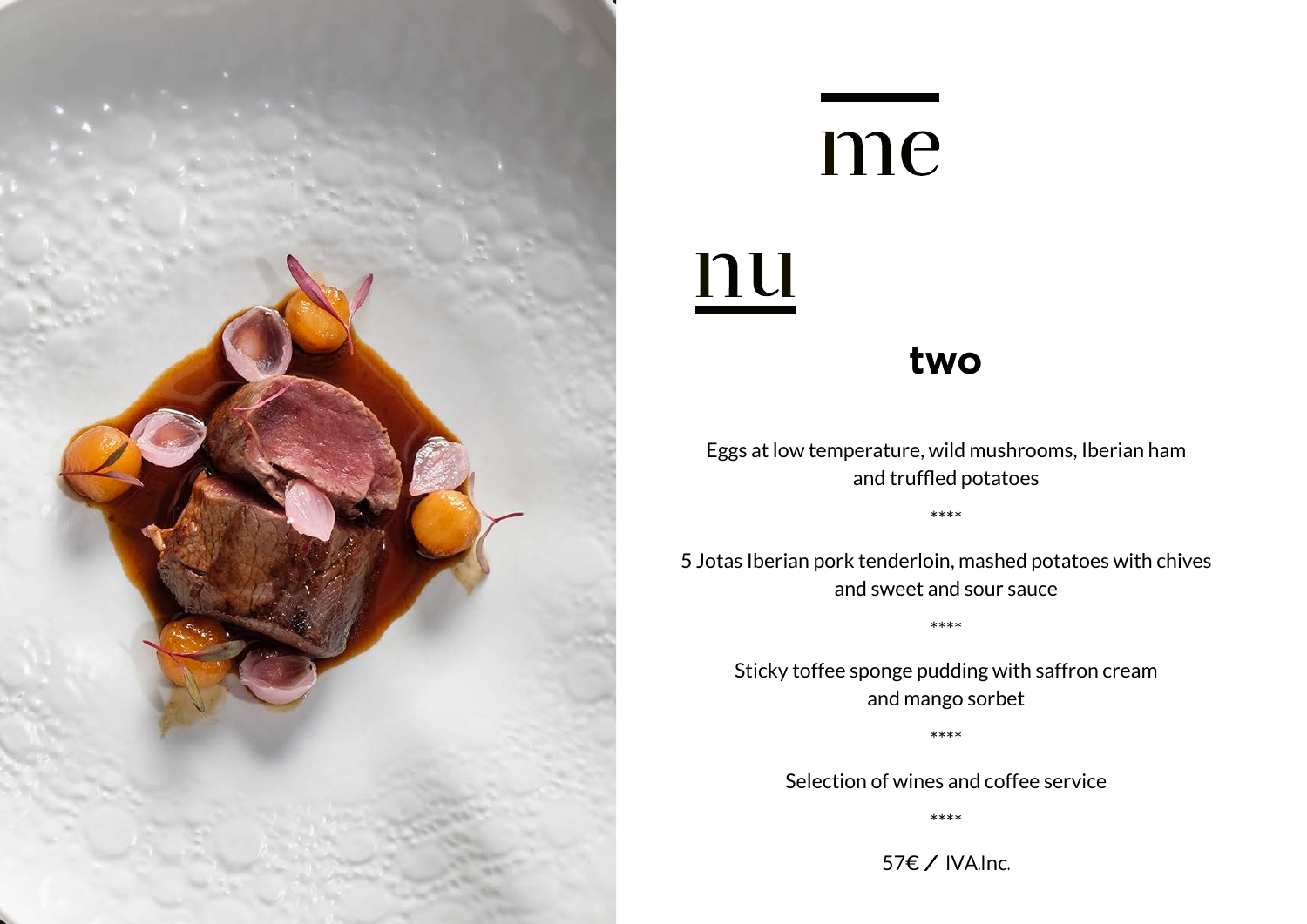

# nu

#### **two**

Eggs at low temperature, wild mushrooms, Iberian ham and truffled potatoes

\*\*\*\*

5 Jotas Iberian pork tenderloin, mashed potatoes with chives and sweet and sour sauce

\*\*\*\*

Sticky toffee sponge pudding with saffron cream and mango sorbet

\*\*\*\*

Selection of wines and coffee service

\*\*\*\*

57€ / IVA.Inc.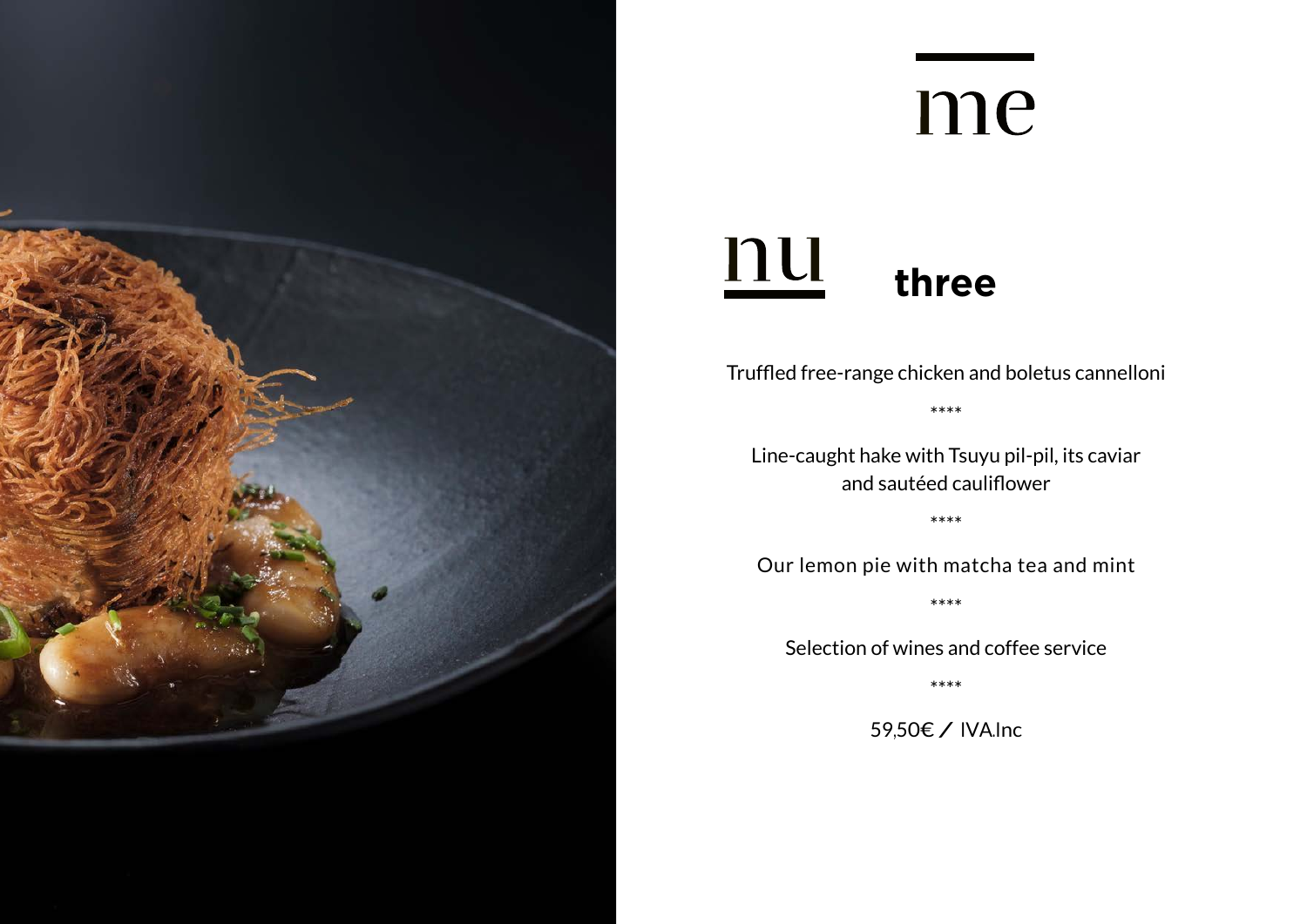

#### nu **three**

Truffled free-range chicken and boletus cannelloni

\*\*\*\*

Line-caught hake with Tsuyu pil-pil, its caviar and sautéed cauliflower

\*\*\*\*

Our lemon pie with matcha tea and mint

\*\*\*\*

Selection of wines and coffee service

\*\*\*\*

59,50€ / IVA.Inc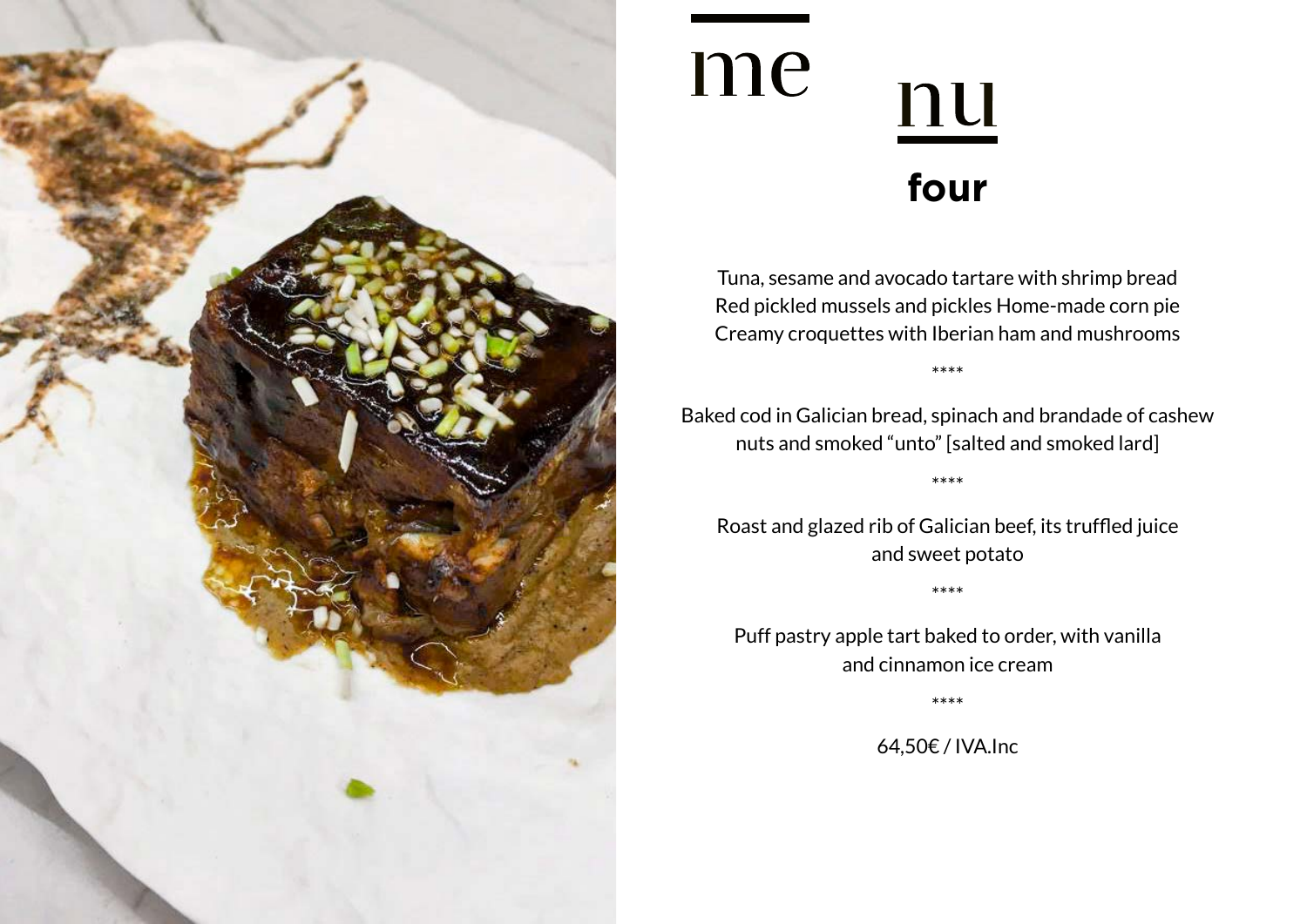

### me nu **four**

Tuna, sesame and avocado tartare with shrimp bread Red pickled mussels and pickles Home-made corn pie Creamy croquettes with Iberian ham and mushrooms

\*\*\*\*

Baked cod in Galician bread, spinach and brandade of cashew nuts and smoked "unto" [salted and smoked lard]

\*\*\*\*

Roast and glazed rib of Galician beef, its truffled juice and sweet potato

\*\*\*\*

Puff pastry apple tart baked to order, with vanilla and cinnamon ice cream

\*\*\*\*

64,50€ / IVA.Inc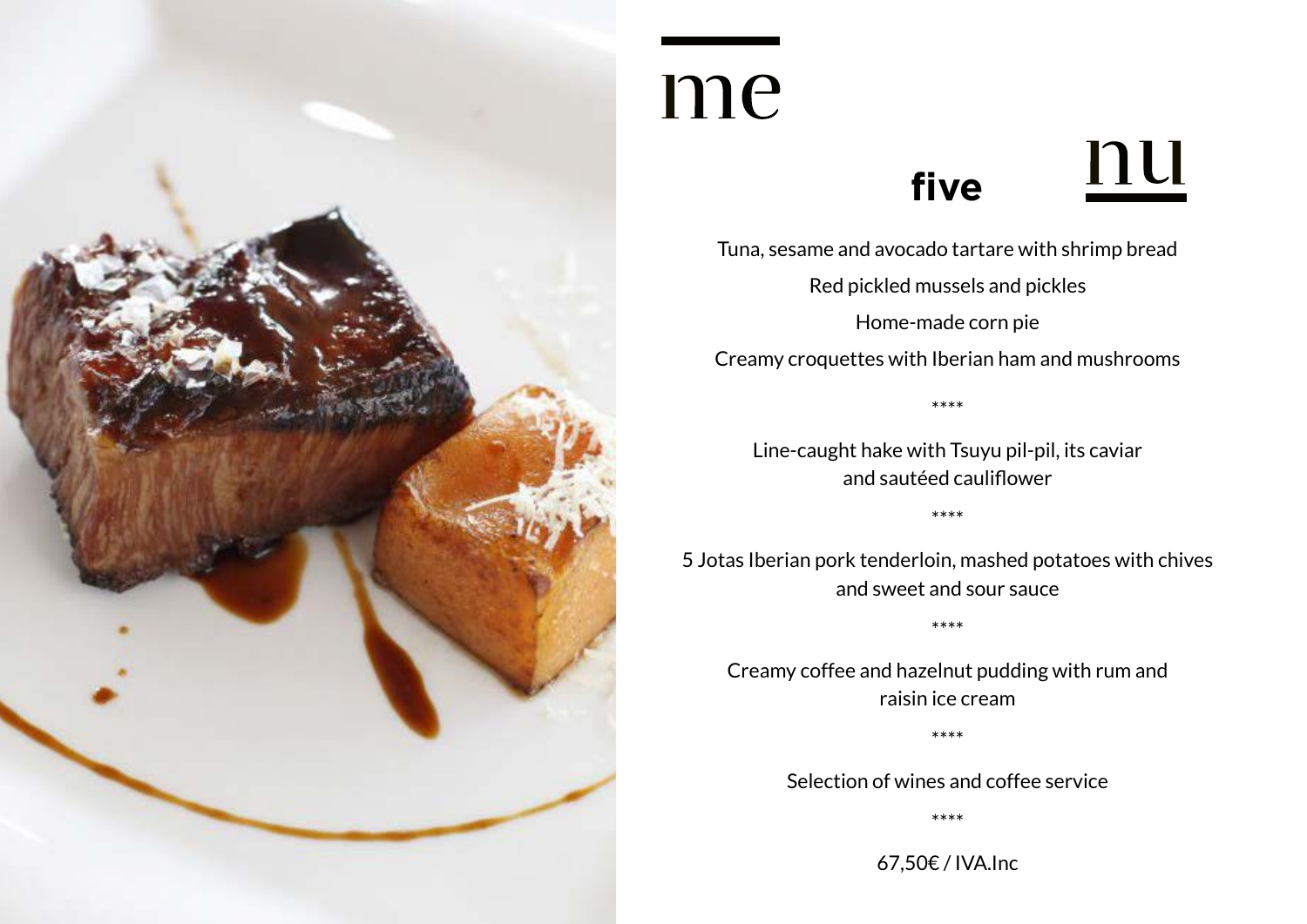

### **five**

Tuna, sesame and avocado tartare with shrimp bread Red pickled mussels and pickles Home-made corn pie

nu

Creamy croquettes with Iberian ham and mushrooms

\*\*\*\*

Line-caught hake with Tsuyu pil-pil, its caviar and sautéed cauliflower

\*\*\*\*

5 Jotas Iberian pork tenderloin, mashed potatoes with chives and sweet and sour sauce

\*\*\*\*

Creamy coffee and hazelnut pudding with rum and raisin ice cream

\*\*\*\*

Selection of wines and coffee service

\*\*\*\*

67,50€ / IVA.Inc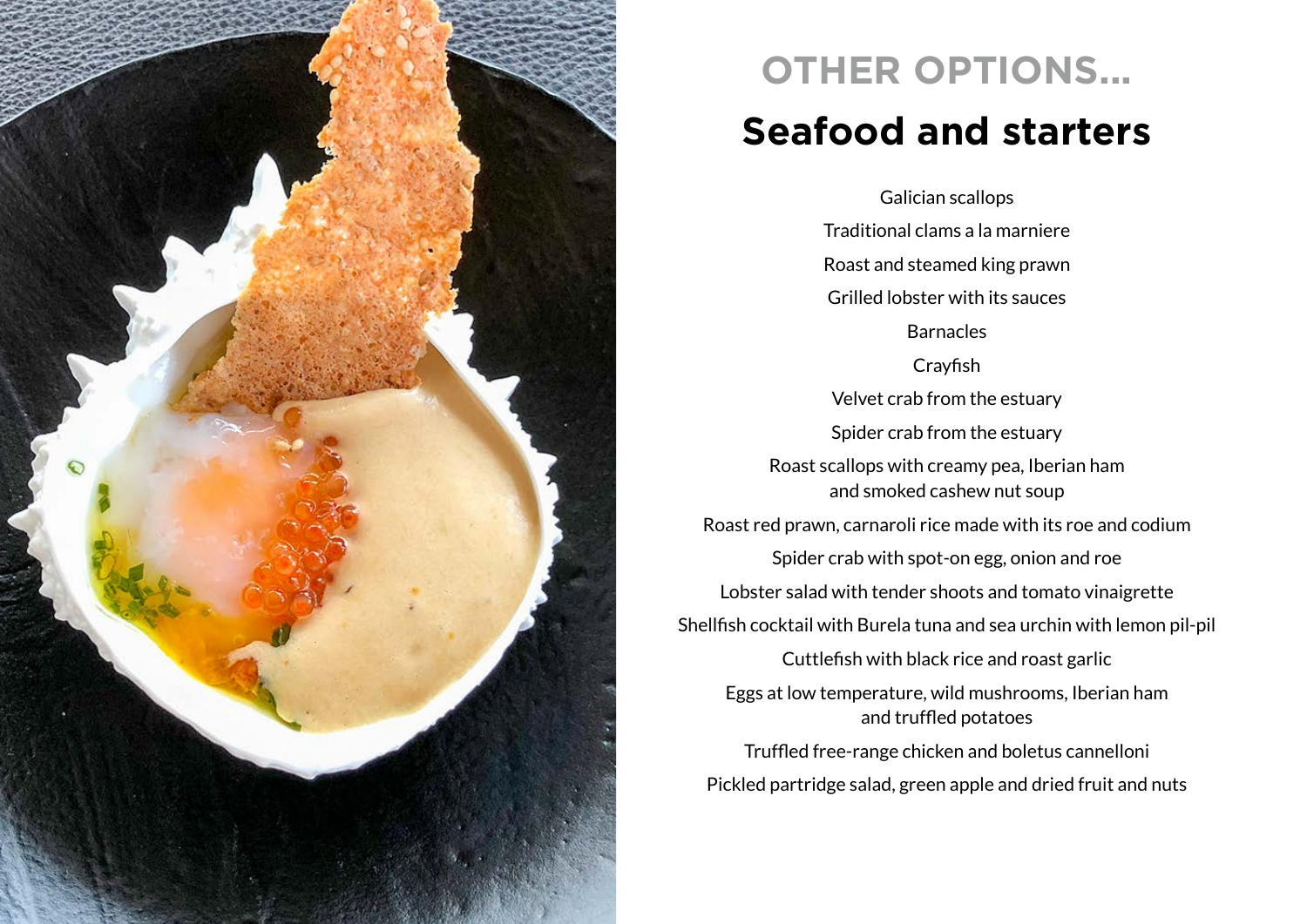

### **OTHER OPTIONS... Seafood and starters**

Galician scallops Traditional clams a la marniere Roast and steamed king prawn Grilled lobster with its sauces Barnacles **Crayfish** Velvet crab from the estuary Spider crab from the estuary Roast scallops with creamy pea, Iberian ham and smoked cashew nut soup Roast red prawn, carnaroli rice made with its roe and codium Spider crab with spot-on egg, onion and roe Lobster salad with tender shoots and tomato vinaigrette Shellfish cocktail with Burela tuna and sea urchin with lemon pil-pil Cuttlefish with black rice and roast garlic Eggs at low temperature, wild mushrooms, Iberian ham and truffled potatoes Truffled free-range chicken and boletus cannelloni Pickled partridge salad, green apple and dried fruit and nuts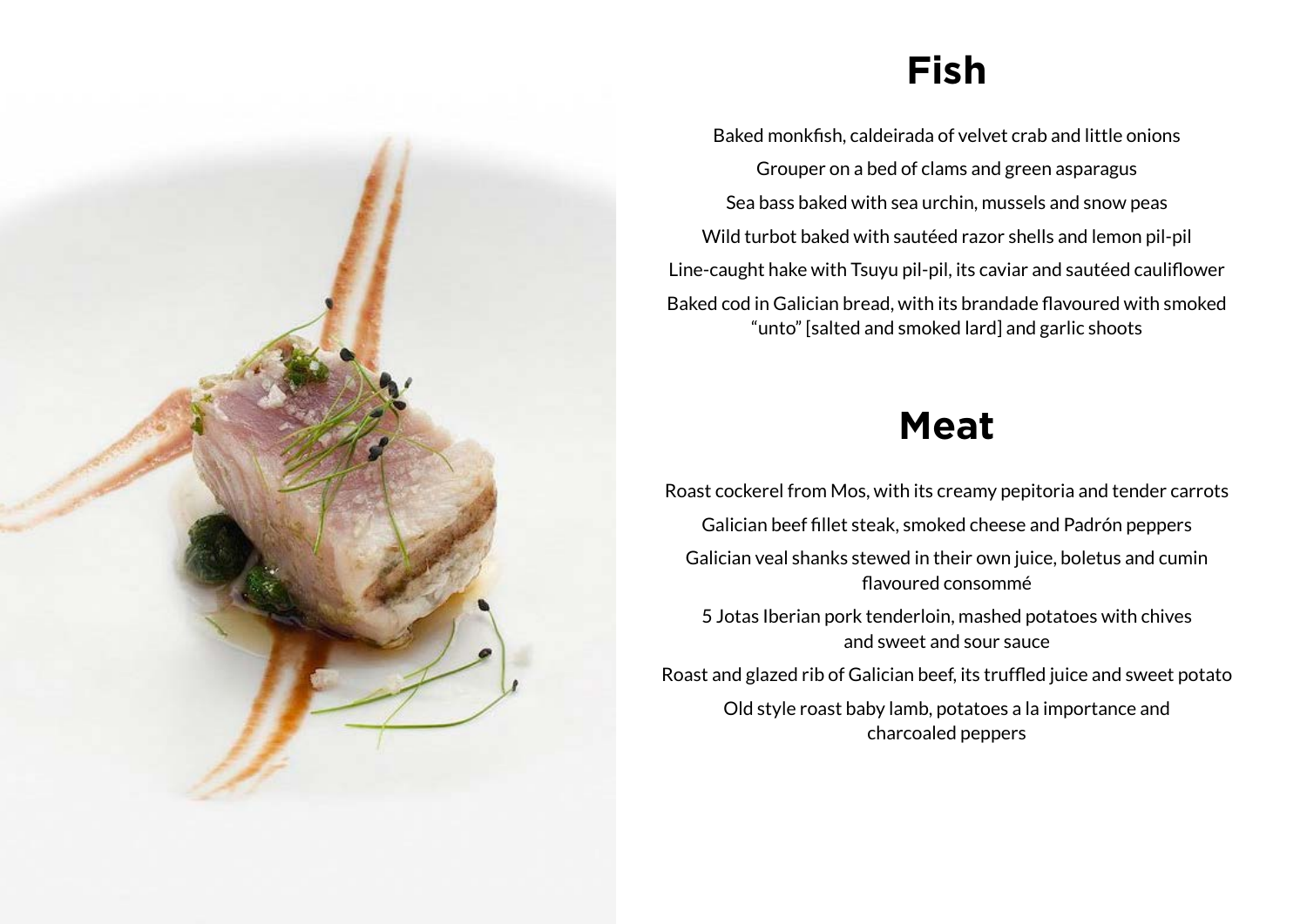### **Fish**

Baked monkfish, caldeirada of velvet crab and little onions Grouper on a bed of clams and green asparagus Sea bass baked with sea urchin, mussels and snow peas Wild turbot baked with sautéed razor shells and lemon pil-pil Line-caught hake with Tsuyu pil-pil, its caviar and sautéed cauliflower Baked cod in Galician bread, with its brandade flavoured with smoked "unto" [salted and smoked lard] and garlic shoots

#### **Meat**

Roast cockerel from Mos, with its creamy pepitoria and tender carrots

Galician beef fillet steak, smoked cheese and Padrón peppers

Galician veal shanks stewed in their own juice, boletus and cumin flavoured consommé

5 Jotas Iberian pork tenderloin, mashed potatoes with chives and sweet and sour sauce

Roast and glazed rib of Galician beef, its truffled juice and sweet potato

Old style roast baby lamb, potatoes a la importance and charcoaled peppers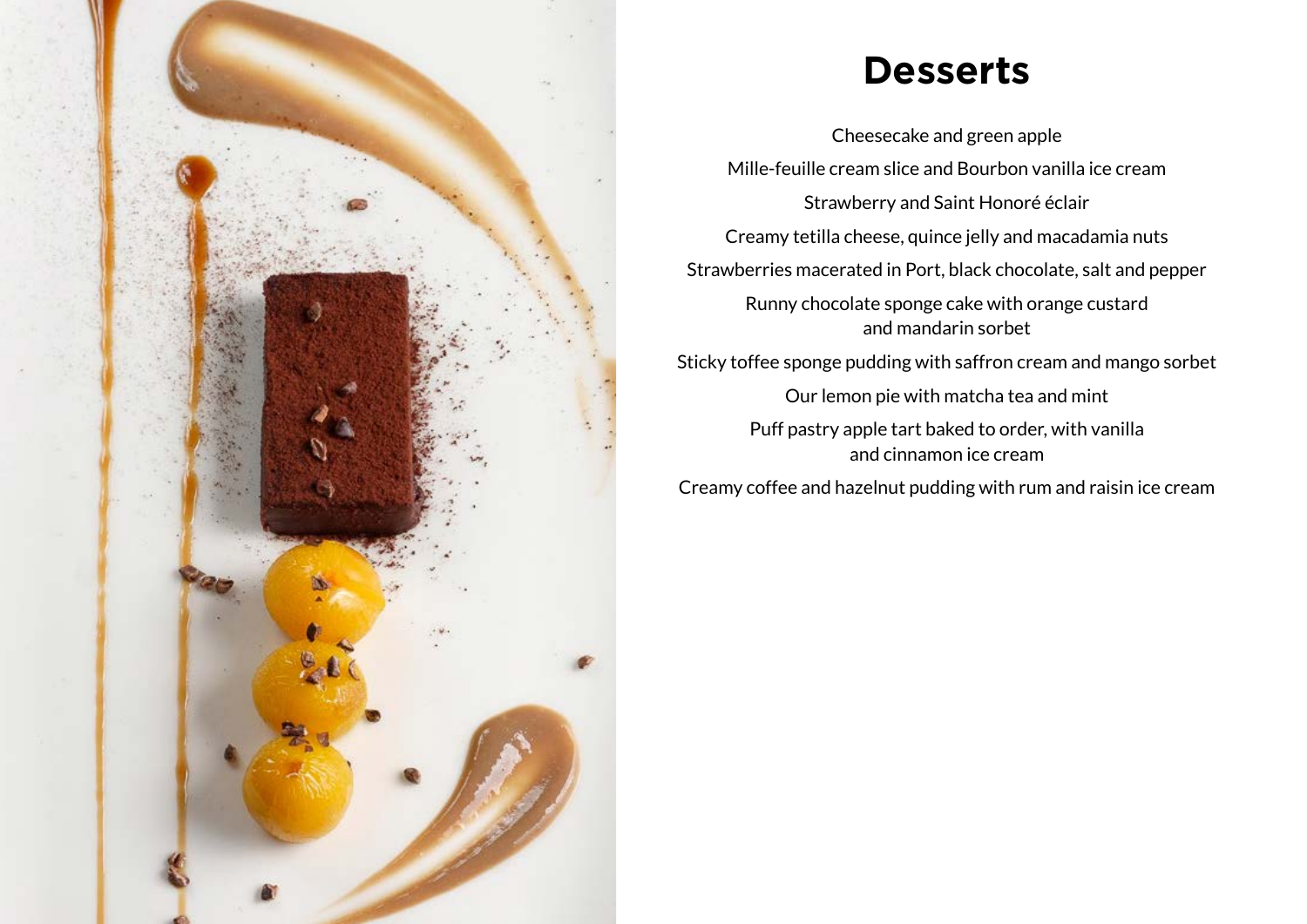

#### **Desserts**

Cheesecake and green apple Mille-feuille cream slice and Bourbon vanilla ice cream Strawberry and Saint Honoré éclair Creamy tetilla cheese, quince jelly and macadamia nuts Strawberries macerated in Port, black chocolate, salt and pepper Runny chocolate sponge cake with orange custard and mandarin sorbet Sticky toffee sponge pudding with saffron cream and mango sorbet

Our lemon pie with matcha tea and mint

Puff pastry apple tart baked to order, with vanilla and cinnamon ice cream

Creamy coffee and hazelnut pudding with rum and raisin ice cream